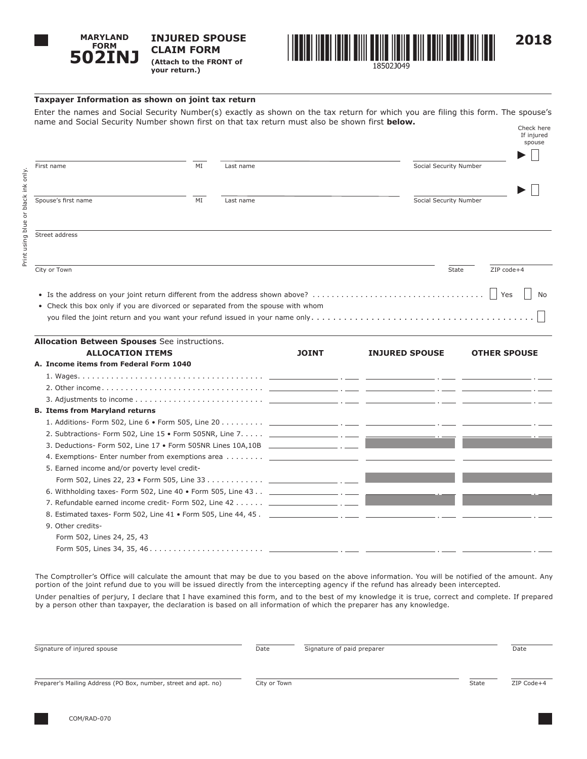

**INJURED SPOUSE CLAIM FORM (Attach to the FRONT of your return.)**



## **Taxpayer Information as shown on joint tax return**

Enter the names and Social Security Number(s) exactly as shown on the tax return for which you are filing this form. The spouse's name and Social Security Number shown first on that tax return must also be shown first **below.** Check here

|                                              |    |                                                                                  |                        | If injured<br>spouse |
|----------------------------------------------|----|----------------------------------------------------------------------------------|------------------------|----------------------|
| First name                                   | ΜI | Last name                                                                        | Social Security Number |                      |
| Spouse's first name                          | ΜI | Last name                                                                        | Social Security Number |                      |
| Street address                               |    |                                                                                  |                        |                      |
| City or Town                                 |    |                                                                                  | State                  | ZIP code+4           |
|                                              |    |                                                                                  |                        | Yes<br>No            |
|                                              |    | • Check this box only if you are divorced or separated from the spouse with whom |                        |                      |
| Allegation Deturned Chauges Coo instructions |    |                                                                                  |                        |                      |

| <b>Allocation Between Spouses</b> See instructions. |              |                       |                     |
|-----------------------------------------------------|--------------|-----------------------|---------------------|
| <b>ALLOCATION ITEMS</b>                             | <b>JOINT</b> | <b>INJURED SPOUSE</b> | <b>OTHER SPOUSE</b> |
| A. Income items from Federal Form 1040              |              |                       |                     |
|                                                     |              |                       |                     |
|                                                     |              |                       |                     |
|                                                     |              |                       |                     |
| <b>B. Items from Maryland returns</b>               |              |                       |                     |
|                                                     |              |                       |                     |
|                                                     |              |                       |                     |
|                                                     |              |                       |                     |
|                                                     |              |                       |                     |
| 5. Earned income and/or poverty level credit-       |              |                       |                     |
|                                                     |              |                       |                     |
|                                                     |              |                       |                     |
|                                                     |              |                       |                     |
|                                                     |              |                       |                     |
| 9. Other credits-                                   |              |                       |                     |
| Form 502, Lines 24, 25, 43                          |              |                       |                     |
|                                                     |              |                       |                     |

The Comptroller's Office will calculate the amount that may be due to you based on the above information. You will be notified of the amount. Any portion of the joint refund due to you will be issued directly from the intercepting agency if the refund has already been intercepted.

Under penalties of perjury, I declare that I have examined this form, and to the best of my knowledge it is true, correct and complete. If prepared by a person other than taxpayer, the declaration is based on all information of which the preparer has any knowledge.

| Signature of injured spouse                                     | Date         | Signature of paid preparer |       | Date       |
|-----------------------------------------------------------------|--------------|----------------------------|-------|------------|
| Preparer's Mailing Address (PO Box, number, street and apt. no) | City or Town |                            | State | ZIP Code+4 |